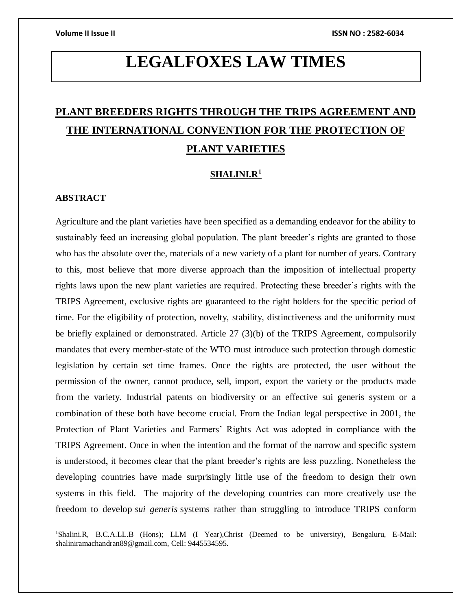# **LEGALFOXES LAW TIMES**

## **PLANT BREEDERS RIGHTS THROUGH THE TRIPS AGREEMENT AND THE INTERNATIONAL CONVENTION FOR THE PROTECTION OF PLANT VARIETIES**

### **SHALINI.R<sup>1</sup>**

#### **ABSTRACT**

 $\overline{a}$ 

Agriculture and the plant varieties have been specified as a demanding endeavor for the ability to sustainably feed an increasing global population. The plant breeder's rights are granted to those who has the absolute over the, materials of a new variety of a plant for number of years. Contrary to this, most believe that more diverse approach than the imposition of intellectual property rights laws upon the new plant varieties are required. Protecting these breeder's rights with the TRIPS Agreement, exclusive rights are guaranteed to the right holders for the specific period of time. For the eligibility of protection, novelty, stability, distinctiveness and the uniformity must be briefly explained or demonstrated. Article 27 (3)(b) of the TRIPS Agreement, compulsorily mandates that every member-state of the WTO must introduce such protection through domestic legislation by certain set time frames. Once the rights are protected, the user without the permission of the owner, cannot produce, sell, import, export the variety or the products made from the variety. Industrial patents on biodiversity or an effective sui generis system or a combination of these both have become crucial. From the Indian legal perspective in 2001, the Protection of Plant Varieties and Farmers' Rights Act was adopted in compliance with the TRIPS Agreement. Once in when the intention and the format of the narrow and specific system is understood, it becomes clear that the plant breeder's rights are less puzzling. Nonetheless the developing countries have made surprisingly little use of the freedom to design their own systems in this field. The majority of the developing countries can more creatively use the freedom to develop *sui generis* systems rather than struggling to introduce TRIPS conform

<sup>&</sup>lt;sup>1</sup>Shalini.R, B.C.A.LL.B (Hons); LLM (I Year),Christ (Deemed to be university), Bengaluru, E-Mail: shaliniramachandran89@gmail.com, Cell: 9445534595.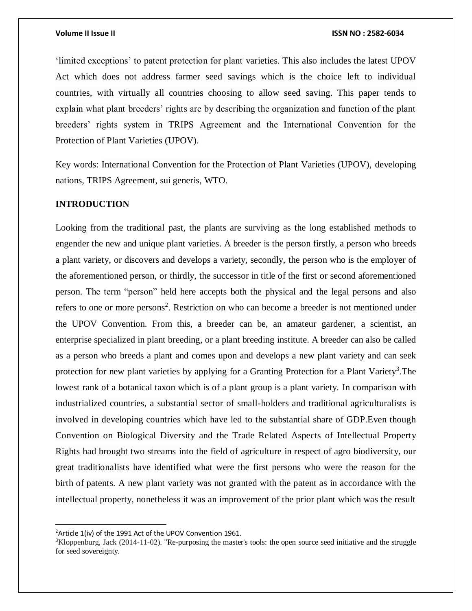'limited exceptions' to patent protection for plant varieties. This also includes the latest UPOV Act which does not address farmer seed savings which is the choice left to individual countries, with virtually all countries choosing to allow seed saving. This paper tends to explain what plant breeders' rights are by describing the organization and function of the plant breeders' rights system in TRIPS Agreement and the International Convention for the Protection of Plant Varieties (UPOV).

Key words: International Convention for the Protection of Plant Varieties (UPOV), developing nations, TRIPS Agreement, sui generis, WTO.

### **INTRODUCTION**

Looking from the traditional past, the plants are surviving as the long established methods to engender the new and unique plant varieties. A breeder is the person firstly, a person who breeds a plant variety, or discovers and develops a variety, secondly, the person who is the employer of the aforementioned person, or thirdly, the successor in title of the first or second aforementioned person. The term "person" held here accepts both the physical and the legal persons and also refers to one or more persons<sup>2</sup>. Restriction on who can become a breeder is not mentioned under the UPOV Convention. From this, a breeder can be, an amateur gardener, a scientist, an enterprise specialized in plant breeding, or a plant breeding institute. A breeder can also be called as a person who breeds a plant and comes upon and develops a new plant variety and can seek protection for new plant varieties by applying for a Granting Protection for a Plant Variety<sup>3</sup>. The lowest rank of a botanical taxon which is of a plant group is a plant variety. In comparison with industrialized countries, a substantial sector of small-holders and traditional agriculturalists is involved in developing countries which have led to the substantial share of GDP.Even though Convention on Biological Diversity and the Trade Related Aspects of Intellectual Property Rights had brought two streams into the field of agriculture in respect of agro biodiversity, our great traditionalists have identified what were the first persons who were the reason for the birth of patents. A new plant variety was not granted with the patent as in accordance with the intellectual property, nonetheless it was an improvement of the prior plant which was the result

 $\overline{a}$ 

 $2$ Article 1(iv) of the 1991 Act of the UPOV Convention 1961.

<sup>&</sup>lt;sup>3</sup>Kloppenburg, Jack (2014-11-02). "Re-purposing the master's tools: the open source seed initiative and the struggle for seed sovereignty.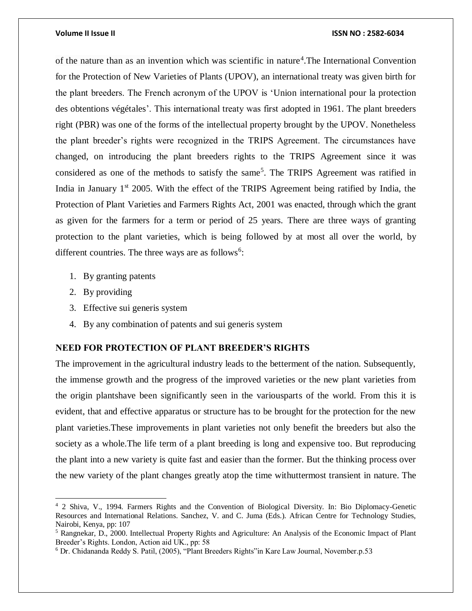of the nature than as an invention which was scientific in nature<sup>4</sup>. The International Convention for the Protection of New Varieties of Plants (UPOV), an international treaty was given birth for the plant breeders. The French acronym of the UPOV is 'Union international pour la protection des obtentions végétales'. This international treaty was first adopted in 1961. The plant breeders right (PBR) was one of the forms of the intellectual property brought by the UPOV. Nonetheless the plant breeder's rights were recognized in the TRIPS Agreement. The circumstances have changed, on introducing the plant breeders rights to the TRIPS Agreement since it was considered as one of the methods to satisfy the same<sup>5</sup>. The TRIPS Agreement was ratified in India in January  $1<sup>st</sup>$  2005. With the effect of the TRIPS Agreement being ratified by India, the Protection of Plant Varieties and Farmers Rights Act, 2001 was enacted, through which the grant as given for the farmers for a term or period of 25 years. There are three ways of granting protection to the plant varieties, which is being followed by at most all over the world, by different countries. The three ways are as follows<sup>6</sup>:

- 1. By granting patents
- 2. By providing

 $\overline{a}$ 

- 3. Effective sui generis system
- 4. By any combination of patents and sui generis system

### **NEED FOR PROTECTION OF PLANT BREEDER'S RIGHTS**

The improvement in the agricultural industry leads to the betterment of the nation. Subsequently, the immense growth and the progress of the improved varieties or the new plant varieties from the origin plantshave been significantly seen in the variousparts of the world. From this it is evident, that and effective apparatus or structure has to be brought for the protection for the new plant varieties.These improvements in plant varieties not only benefit the breeders but also the society as a whole.The life term of a plant breeding is long and expensive too. But reproducing the plant into a new variety is quite fast and easier than the former. But the thinking process over the new variety of the plant changes greatly atop the time withuttermost transient in nature. The

<sup>4</sup> 2 Shiva, V., 1994. Farmers Rights and the Convention of Biological Diversity. In: Bio Diplomacy-Genetic Resources and International Relations. Sanchez, V. and C. Juma (Eds.). African Centre for Technology Studies, Nairobi, Kenya, pp: 107

<sup>5</sup> Rangnekar, D., 2000. Intellectual Property Rights and Agriculture: An Analysis of the Economic Impact of Plant Breeder's Rights. London, Action aid UK., pp: 58

<sup>6</sup> Dr. Chidananda Reddy S. Patil, (2005), "Plant Breeders Rights"in Kare Law Journal, November.p.53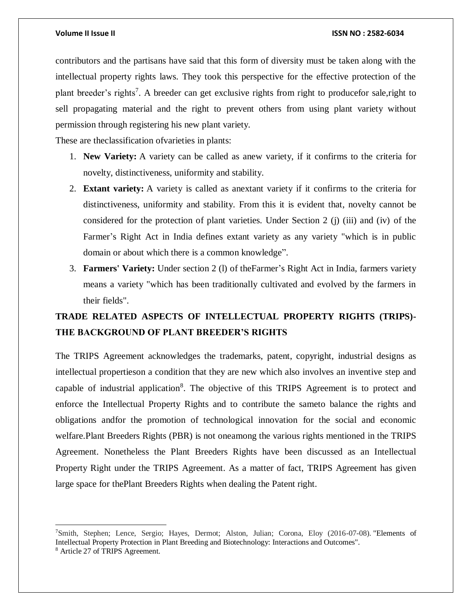$\overline{a}$ 

contributors and the partisans have said that this form of diversity must be taken along with the intellectual property rights laws. They took this perspective for the effective protection of the plant breeder's rights<sup>7</sup>. A breeder can get exclusive rights from right to producefor sale, right to sell propagating material and the right to prevent others from using plant variety without permission through registering his new plant variety.

These are theclassification ofvarieties in plants:

- 1. **New Variety:** A variety can be called as anew variety, if it confirms to the criteria for novelty, distinctiveness, uniformity and stability.
- 2. **Extant variety:** A variety is called as anextant variety if it confirms to the criteria for distinctiveness, uniformity and stability. From this it is evident that, novelty cannot be considered for the protection of plant varieties. Under Section 2 (j) (iii) and (iv) of the Farmer's Right Act in India defines extant variety as any variety "which is in public domain or about which there is a common knowledge".
- 3. **Farmers' Variety:** Under section 2 (l) of theFarmer's Right Act in India, farmers variety means a variety "which has been traditionally cultivated and evolved by the farmers in their fields".

## **TRADE RELATED ASPECTS OF INTELLECTUAL PROPERTY RIGHTS (TRIPS)- THE BACKGROUND OF PLANT BREEDER'S RIGHTS**

The TRIPS Agreement acknowledges the trademarks, patent, copyright, industrial designs as intellectual propertieson a condition that they are new which also involves an inventive step and capable of industrial application<sup>8</sup>. The objective of this TRIPS Agreement is to protect and enforce the Intellectual Property Rights and to contribute the sameto balance the rights and obligations andfor the promotion of technological innovation for the social and economic welfare.Plant Breeders Rights (PBR) is not oneamong the various rights mentioned in the TRIPS Agreement. Nonetheless the Plant Breeders Rights have been discussed as an Intellectual Property Right under the TRIPS Agreement. As a matter of fact, TRIPS Agreement has given large space for thePlant Breeders Rights when dealing the Patent right.

<sup>7</sup>Smith, Stephen; Lence, Sergio; Hayes, Dermot; Alston, Julian; Corona, Eloy (2016-07-08). "Elements of Intellectual Property Protection in Plant Breeding and Biotechnology: Interactions and Outcomes". <sup>8</sup> Article 27 of TRIPS Agreement.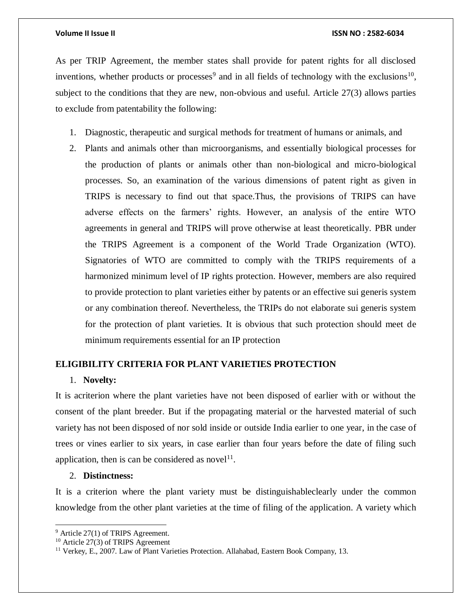As per TRIP Agreement, the member states shall provide for patent rights for all disclosed inventions, whether products or processes<sup>9</sup> and in all fields of technology with the exclusions<sup>10</sup>, subject to the conditions that they are new, non-obvious and useful. Article 27(3) allows parties to exclude from patentability the following:

- 1. Diagnostic, therapeutic and surgical methods for treatment of humans or animals, and
- 2. Plants and animals other than microorganisms, and essentially biological processes for the production of plants or animals other than non-biological and micro-biological processes. So, an examination of the various dimensions of patent right as given in TRIPS is necessary to find out that space.Thus, the provisions of TRIPS can have adverse effects on the farmers' rights. However, an analysis of the entire WTO agreements in general and TRIPS will prove otherwise at least theoretically. PBR under the TRIPS Agreement is a component of the World Trade Organization (WTO). Signatories of WTO are committed to comply with the TRIPS requirements of a harmonized minimum level of IP rights protection. However, members are also required to provide protection to plant varieties either by patents or an effective sui generis system or any combination thereof. Nevertheless, the TRIPs do not elaborate sui generis system for the protection of plant varieties. It is obvious that such protection should meet de minimum requirements essential for an IP protection

#### **ELIGIBILITY CRITERIA FOR PLANT VARIETIES PROTECTION**

#### 1. **Novelty:**

It is acriterion where the plant varieties have not been disposed of earlier with or without the consent of the plant breeder. But if the propagating material or the harvested material of such variety has not been disposed of nor sold inside or outside India earlier to one year, in the case of trees or vines earlier to six years, in case earlier than four years before the date of filing such application, then is can be considered as novel<sup>11</sup>.

### 2. **Distinctness:**

 $\overline{a}$ 

It is a criterion where the plant variety must be distinguishableclearly under the common knowledge from the other plant varieties at the time of filing of the application. A variety which

<sup>&</sup>lt;sup>9</sup> Article 27(1) of TRIPS Agreement.

<sup>10</sup> Article 27(3) of TRIPS Agreement

<sup>&</sup>lt;sup>11</sup> Verkey, E., 2007. Law of Plant Varieties Protection. Allahabad, Eastern Book Company, 13.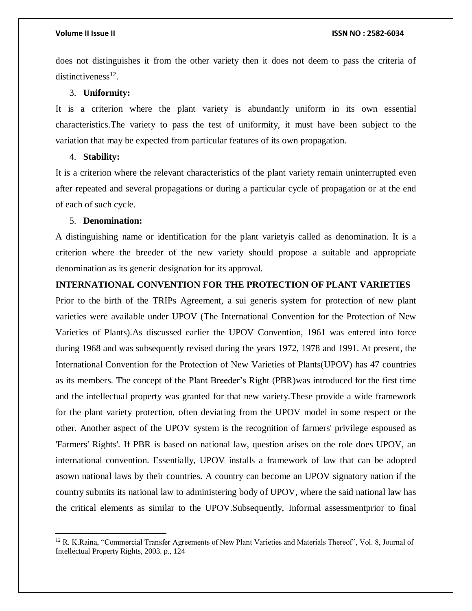does not distinguishes it from the other variety then it does not deem to pass the criteria of distinctiveness $^{12}$ .

#### 3. **Uniformity:**

It is a criterion where the plant variety is abundantly uniform in its own essential characteristics.The variety to pass the test of uniformity, it must have been subject to the variation that may be expected from particular features of its own propagation.

#### 4. **Stability:**

It is a criterion where the relevant characteristics of the plant variety remain uninterrupted even after repeated and several propagations or during a particular cycle of propagation or at the end of each of such cycle.

### 5. **Denomination:**

 $\overline{\phantom{a}}$ 

A distinguishing name or identification for the plant varietyis called as denomination. It is a criterion where the breeder of the new variety should propose a suitable and appropriate denomination as its generic designation for its approval.

#### **INTERNATIONAL CONVENTION FOR THE PROTECTION OF PLANT VARIETIES**

Prior to the birth of the TRIPs Agreement, a sui generis system for protection of new plant varieties were available under UPOV (The International Convention for the Protection of New Varieties of Plants).As discussed earlier the UPOV Convention, 1961 was entered into force during 1968 and was subsequently revised during the years 1972, 1978 and 1991. At present, the International Convention for the Protection of New Varieties of Plants(UPOV) has 47 countries as its members. The concept of the Plant Breeder's Right (PBR)was introduced for the first time and the intellectual property was granted for that new variety.These provide a wide framework for the plant variety protection, often deviating from the UPOV model in some respect or the other. Another aspect of the UPOV system is the recognition of farmers' privilege espoused as 'Farmers' Rights'. If PBR is based on national law, question arises on the role does UPOV, an international convention. Essentially, UPOV installs a framework of law that can be adopted asown national laws by their countries. A country can become an UPOV signatory nation if the country submits its national law to administering body of UPOV, where the said national law has the critical elements as similar to the UPOV.Subsequently, Informal assessmentprior to final

<sup>12</sup> R. K.Raina, "Commercial Transfer Agreements of New Plant Varieties and Materials Thereof", Vol. 8, Journal of Intellectual Property Rights, 2003. p., 124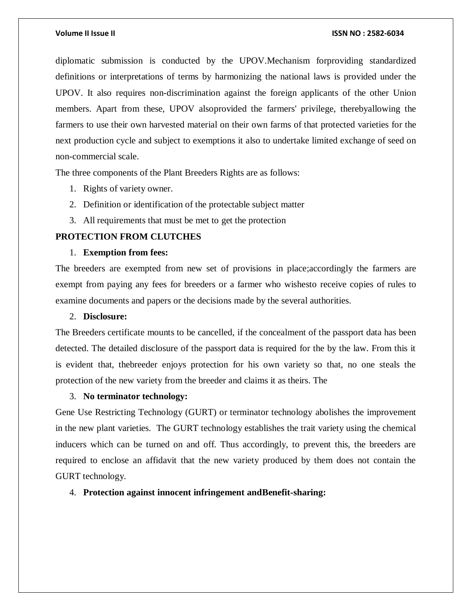diplomatic submission is conducted by the UPOV.Mechanism forproviding standardized definitions or interpretations of terms by harmonizing the national laws is provided under the UPOV. It also requires non-discrimination against the foreign applicants of the other Union members. Apart from these, UPOV alsoprovided the farmers' privilege, therebyallowing the farmers to use their own harvested material on their own farms of that protected varieties for the next production cycle and subject to exemptions it also to undertake limited exchange of seed on non-commercial scale.

The three components of the Plant Breeders Rights are as follows:

- 1. Rights of variety owner.
- 2. Definition or identification of the protectable subject matter
- 3. All requirements that must be met to get the protection

### **PROTECTION FROM CLUTCHES**

### 1. **Exemption from fees:**

The breeders are exempted from new set of provisions in place;accordingly the farmers are exempt from paying any fees for breeders or a farmer who wishesto receive copies of rules to examine documents and papers or the decisions made by the several authorities.

#### 2. **Disclosure:**

The Breeders certificate mounts to be cancelled, if the concealment of the passport data has been detected. The detailed disclosure of the passport data is required for the by the law. From this it is evident that, thebreeder enjoys protection for his own variety so that, no one steals the protection of the new variety from the breeder and claims it as theirs. The

### 3. **No terminator technology:**

Gene Use Restricting Technology (GURT) or terminator technology abolishes the improvement in the new plant varieties. The GURT technology establishes the trait variety using the chemical inducers which can be turned on and off. Thus accordingly, to prevent this, the breeders are required to enclose an affidavit that the new variety produced by them does not contain the GURT technology.

#### 4. **Protection against innocent infringement andBenefit-sharing:**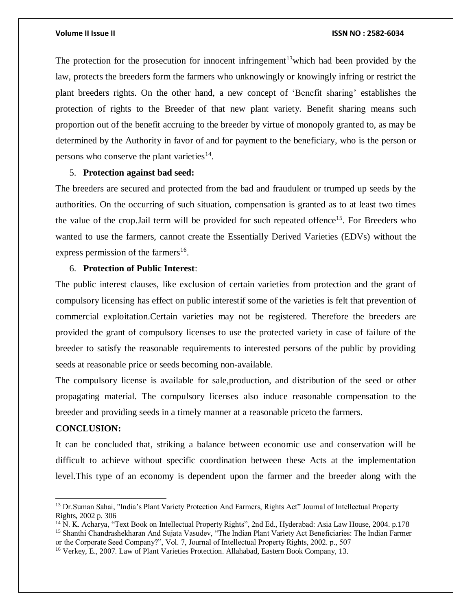The protection for the prosecution for innocent infringement<sup>13</sup>which had been provided by the law, protects the breeders form the farmers who unknowingly or knowingly infring or restrict the plant breeders rights. On the other hand, a new concept of 'Benefit sharing' establishes the protection of rights to the Breeder of that new plant variety. Benefit sharing means such proportion out of the benefit accruing to the breeder by virtue of monopoly granted to, as may be determined by the Authority in favor of and for payment to the beneficiary, who is the person or persons who conserve the plant varieties $^{14}$ .

#### 5. **Protection against bad seed:**

The breeders are secured and protected from the bad and fraudulent or trumped up seeds by the authorities. On the occurring of such situation, compensation is granted as to at least two times the value of the crop. Jail term will be provided for such repeated offence<sup>15</sup>. For Breeders who wanted to use the farmers, cannot create the Essentially Derived Varieties (EDVs) without the express permission of the farmers<sup>16</sup>.

#### 6. **Protection of Public Interest**:

The public interest clauses, like exclusion of certain varieties from protection and the grant of compulsory licensing has effect on public interestif some of the varieties is felt that prevention of commercial exploitation.Certain varieties may not be registered. Therefore the breeders are provided the grant of compulsory licenses to use the protected variety in case of failure of the breeder to satisfy the reasonable requirements to interested persons of the public by providing seeds at reasonable price or seeds becoming non-available.

The compulsory license is available for sale,production, and distribution of the seed or other propagating material. The compulsory licenses also induce reasonable compensation to the breeder and providing seeds in a timely manner at a reasonable priceto the farmers.

### **CONCLUSION:**

 $\overline{a}$ 

It can be concluded that, striking a balance between economic use and conservation will be difficult to achieve without specific coordination between these Acts at the implementation level.This type of an economy is dependent upon the farmer and the breeder along with the

<sup>&</sup>lt;sup>13</sup> Dr.Suman Sahai, "India's Plant Variety Protection And Farmers, Rights Act" Journal of Intellectual Property Rights, 2002 p. 306

<sup>14</sup> N. K. Acharya, "Text Book on Intellectual Property Rights", 2nd Ed., Hyderabad: Asia Law House, 2004. p.178 <sup>15</sup> Shanthi Chandrashekharan And Sujata Vasudev, "The Indian Plant Variety Act Beneficiaries: The Indian Farmer or the Corporate Seed Company?", Vol. 7, Journal of Intellectual Property Rights, 2002. p., 507

<sup>&</sup>lt;sup>16</sup> Verkey, E., 2007. Law of Plant Varieties Protection. Allahabad, Eastern Book Company, 13.